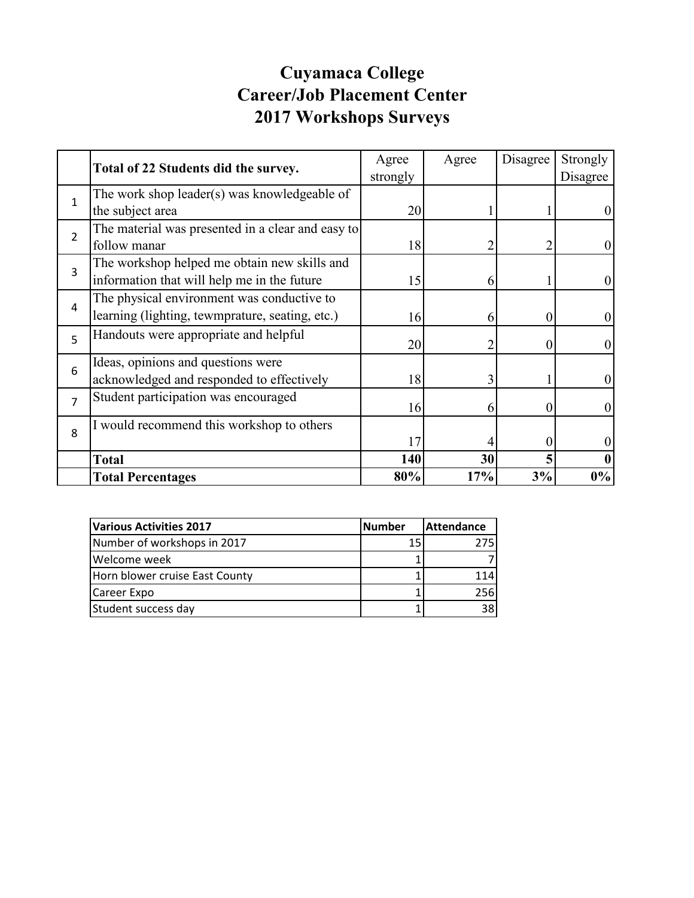## **Cuyamaca College Career/Job Placement Center 2017 Workshops Surveys**

|                | Total of 22 Students did the survey.              | Agree    | Agree | Disagree | Strongly         |
|----------------|---------------------------------------------------|----------|-------|----------|------------------|
|                |                                                   | strongly |       |          | Disagree         |
| $\mathbf{1}$   | The work shop leader(s) was knowledgeable of      |          |       |          |                  |
|                | the subject area                                  | 20       |       |          |                  |
| $\overline{2}$ | The material was presented in a clear and easy to |          |       |          |                  |
|                | follow manar                                      | 18       |       |          | $\boldsymbol{0}$ |
| 3              | The workshop helped me obtain new skills and      |          |       |          |                  |
|                | information that will help me in the future       | 15       | 6     |          | $\boldsymbol{0}$ |
| 4              | The physical environment was conductive to        |          |       |          |                  |
|                | learning (lighting, tewmprature, seating, etc.)   | 16       | 6     | $\theta$ | $\boldsymbol{0}$ |
| 5              | Handouts were appropriate and helpful             |          |       | $\theta$ | $\overline{0}$   |
|                |                                                   | 20       | 2     |          |                  |
| 6              | Ideas, opinions and questions were                |          |       |          |                  |
|                | acknowledged and responded to effectively         | 18       | 3     |          | $\boldsymbol{0}$ |
| $\overline{7}$ | Student participation was encouraged              |          |       |          |                  |
|                |                                                   | 16       | 6     | $\theta$ | $\boldsymbol{0}$ |
| 8              | I would recommend this workshop to others         |          |       |          |                  |
|                |                                                   | 17       |       |          |                  |
|                | <b>Total</b>                                      | 140      | 30    |          |                  |
|                | <b>Total Percentages</b>                          | 80%      | 17%   | 3%       | $0\%$            |

| Various Activities 2017        | <b>Number</b> | <b>Attendance</b> |  |
|--------------------------------|---------------|-------------------|--|
| Number of workshops in 2017    | 15            | 275I              |  |
| Welcome week                   |               |                   |  |
| Horn blower cruise East County |               | 114               |  |
| Career Expo                    |               | 256I              |  |
| Student success day            |               | 381               |  |